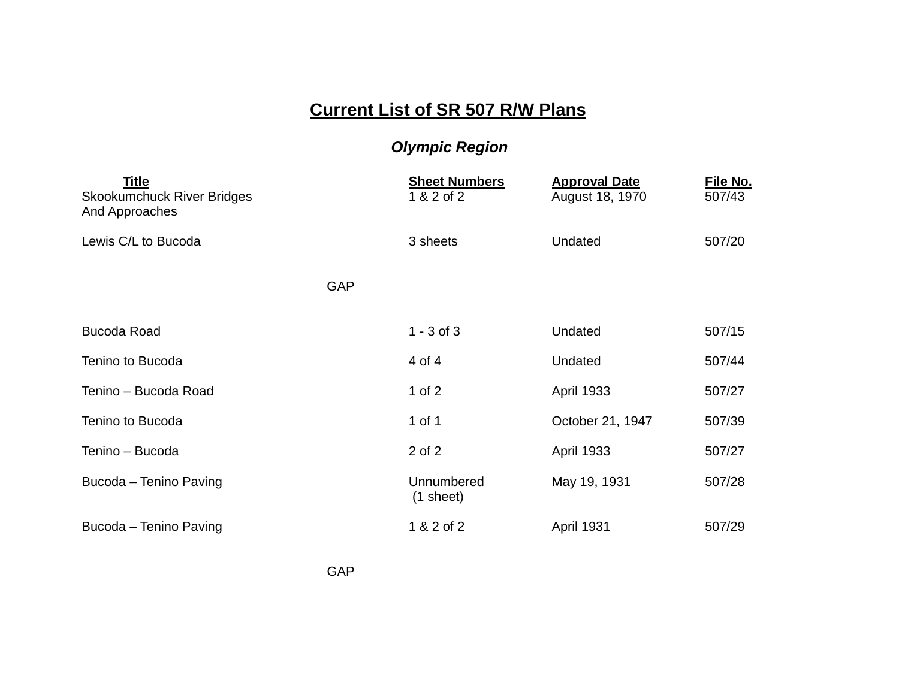## **Current List of SR 507 R/W Plans**

## *Olympic Region*

| <b>Title</b><br><b>Skookumchuck River Bridges</b><br>And Approaches |            | <b>Sheet Numbers</b><br>1 & 2 of 2 | <b>Approval Date</b><br>August 18, 1970 | File No.<br>507/43 |
|---------------------------------------------------------------------|------------|------------------------------------|-----------------------------------------|--------------------|
| Lewis C/L to Bucoda                                                 |            | 3 sheets                           | <b>Undated</b>                          | 507/20             |
|                                                                     | <b>GAP</b> |                                    |                                         |                    |
| <b>Bucoda Road</b>                                                  |            | $1 - 3$ of 3                       | Undated                                 | 507/15             |
| Tenino to Bucoda                                                    |            | 4 of 4                             | Undated                                 | 507/44             |
| Tenino - Bucoda Road                                                |            | 1 of $2$                           | <b>April 1933</b>                       | 507/27             |
| Tenino to Bucoda                                                    |            | 1 of 1                             | October 21, 1947                        | 507/39             |
| Tenino - Bucoda                                                     |            | 2 of 2                             | <b>April 1933</b>                       | 507/27             |
| Bucoda - Tenino Paving                                              |            | Unnumbered<br>$(1$ sheet)          | May 19, 1931                            | 507/28             |
| Bucoda - Tenino Paving                                              |            | 1 & 2 of 2                         | April 1931                              | 507/29             |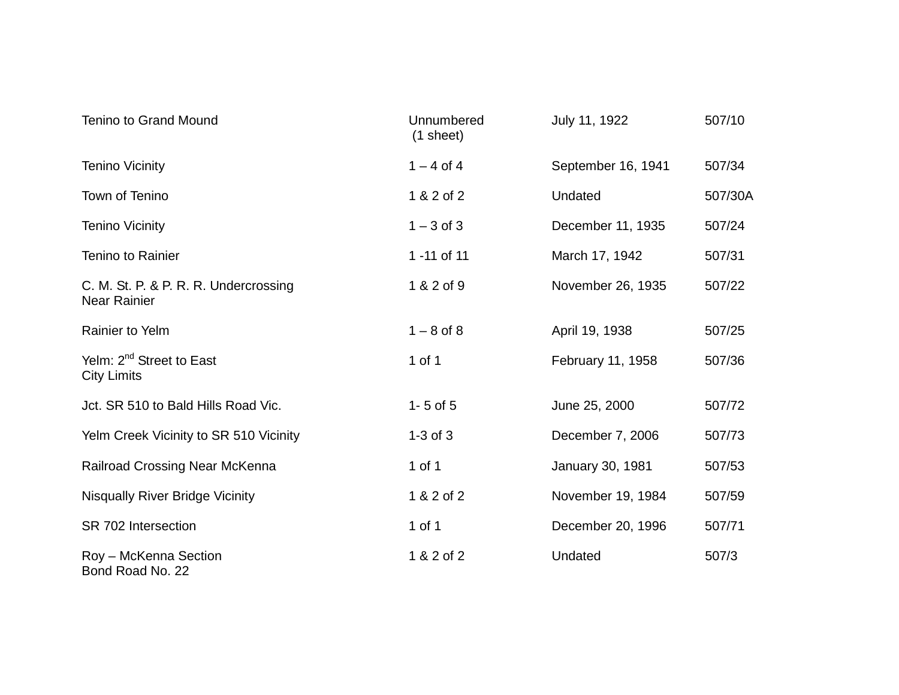| <b>Tenino to Grand Mound</b>                                 | Unnumbered<br>$(1$ sheet) | July 11, 1922      | 507/10  |
|--------------------------------------------------------------|---------------------------|--------------------|---------|
| <b>Tenino Vicinity</b>                                       | $1 - 4$ of 4              | September 16, 1941 | 507/34  |
| Town of Tenino                                               | 1 & 2 of 2                | Undated            | 507/30A |
| <b>Tenino Vicinity</b>                                       | $1 - 3$ of 3              | December 11, 1935  | 507/24  |
| <b>Tenino to Rainier</b>                                     | 1 -11 of 11               | March 17, 1942     | 507/31  |
| C. M. St. P. & P. R. R. Undercrossing<br><b>Near Rainier</b> | 1 & 2 of 9                | November 26, 1935  | 507/22  |
| <b>Rainier to Yelm</b>                                       | $1 - 8$ of 8              | April 19, 1938     | 507/25  |
| Yelm: 2 <sup>nd</sup> Street to East<br><b>City Limits</b>   | 1 of 1                    | February 11, 1958  | 507/36  |
| Jct. SR 510 to Bald Hills Road Vic.                          | $1 - 5$ of $5$            | June 25, 2000      | 507/72  |
| Yelm Creek Vicinity to SR 510 Vicinity                       | $1-3$ of $3$              | December 7, 2006   | 507/73  |
| <b>Railroad Crossing Near McKenna</b>                        | 1 of 1                    | January 30, 1981   | 507/53  |
| <b>Nisqually River Bridge Vicinity</b>                       | 1 & 2 of 2                | November 19, 1984  | 507/59  |
| SR 702 Intersection                                          | 1 of 1                    | December 20, 1996  | 507/71  |
| Roy - McKenna Section<br>Bond Road No. 22                    | 1 & 2 of 2                | Undated            | 507/3   |